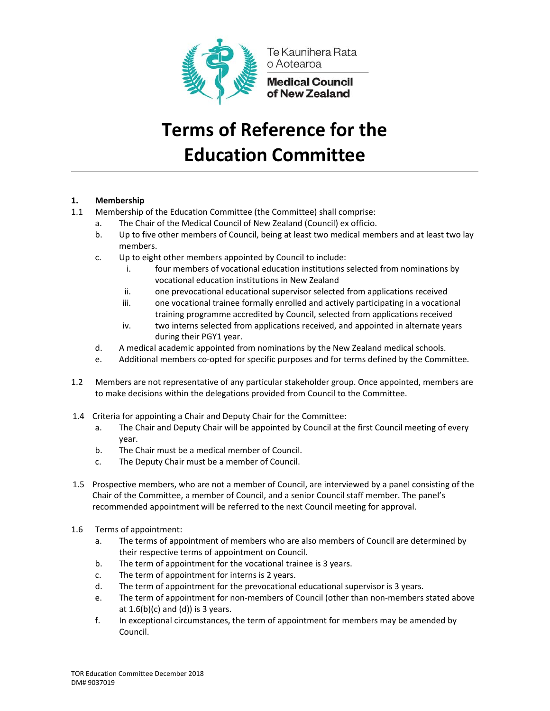

Te Kaunihera Rata o Aotearoa

**Medical Council<br>of New Zealand** 

# **Terms of Reference for the Education Committee**

## **1. Membership**

- 1.1 Membership of the Education Committee (the Committee) shall comprise:
	- a. The Chair of the Medical Council of New Zealand (Council) ex officio.
	- b. Up to five other members of Council, being at least two medical members and at least two lay members.
	- c. Up to eight other members appointed by Council to include:
		- i. four members of vocational education institutions selected from nominations by vocational education institutions in New Zealand
		- ii. one prevocational educational supervisor selected from applications received
		- iii. one vocational trainee formally enrolled and actively participating in a vocational training programme accredited by Council, selected from applications received
		- iv. two interns selected from applications received, and appointed in alternate years during their PGY1 year.
	- d. A medical academic appointed from nominations by the New Zealand medical schools.
	- e. Additional members co-opted for specific purposes and for terms defined by the Committee.
- 1.2 Members are not representative of any particular stakeholder group. Once appointed, members are to make decisions within the delegations provided from Council to the Committee.
- 1.4 Criteria for appointing a Chair and Deputy Chair for the Committee:
	- a. The Chair and Deputy Chair will be appointed by Council at the first Council meeting of every year.
	- b. The Chair must be a medical member of Council.
	- c. The Deputy Chair must be a member of Council.
- 1.5 Prospective members, who are not a member of Council, are interviewed by a panel consisting of the Chair of the Committee, a member of Council, and a senior Council staff member. The panel's recommended appointment will be referred to the next Council meeting for approval.
- 1.6 Terms of appointment:
	- a. The terms of appointment of members who are also members of Council are determined by their respective terms of appointment on Council.
	- b. The term of appointment for the vocational trainee is 3 years.
	- c. The term of appointment for interns is 2 years.
	- d. The term of appointment for the prevocational educational supervisor is 3 years.
	- e. The term of appointment for non-members of Council (other than non-members stated above at  $1.6(b)(c)$  and  $(d)$ ) is 3 years.
	- f. In exceptional circumstances, the term of appointment for members may be amended by Council.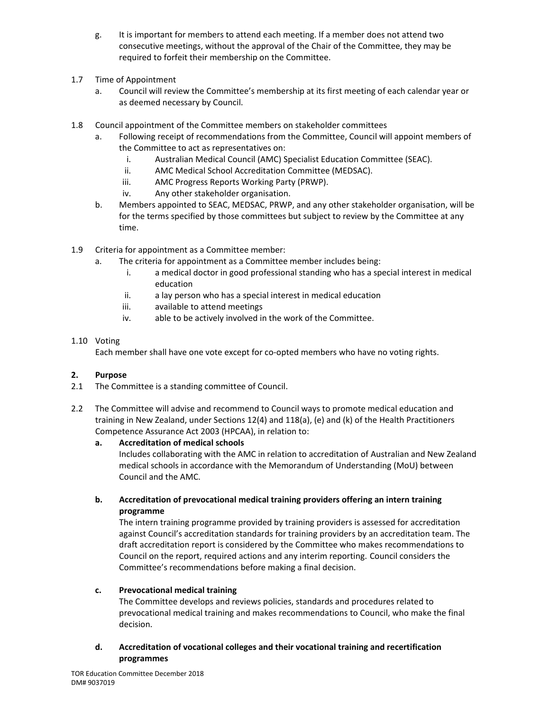- g. It is important for members to attend each meeting. If a member does not attend two consecutive meetings, without the approval of the Chair of the Committee, they may be required to forfeit their membership on the Committee.
- 1.7 Time of Appointment
	- a. Council will review the Committee's membership at its first meeting of each calendar year or as deemed necessary by Council.
- 1.8 Council appointment of the Committee members on stakeholder committees
	- a. Following receipt of recommendations from the Committee, Council will appoint members of the Committee to act as representatives on:
		- i. Australian Medical Council (AMC) Specialist Education Committee (SEAC).
		- ii. AMC Medical School Accreditation Committee (MEDSAC).
		- iii. AMC Progress Reports Working Party (PRWP).
		- iv. Any other stakeholder organisation.
	- b. Members appointed to SEAC, MEDSAC, PRWP, and any other stakeholder organisation, will be for the terms specified by those committees but subject to review by the Committee at any time.
- 1.9 Criteria for appointment as a Committee member:
	- a. The criteria for appointment as a Committee member includes being:
		- i. a medical doctor in good professional standing who has a special interest in medical education
		- ii. a lay person who has a special interest in medical education
		- iii. available to attend meetings
		- iv. able to be actively involved in the work of the Committee.

#### 1.10 Voting

Each member shall have one vote except for co‐opted members who have no voting rights.

#### **2. Purpose**

- 2.1 The Committee is a standing committee of Council.
- 2.2 The Committee will advise and recommend to Council ways to promote medical education and training in New Zealand, under Sections 12(4) and 118(a), (e) and (k) of the Health Practitioners Competence Assurance Act 2003 (HPCAA), in relation to:

#### **a. Accreditation of medical schools**

 Includes collaborating with the AMC in relation to accreditation of Australian and New Zealand medical schools in accordance with the Memorandum of Understanding (MoU) between Council and the AMC.

## **b. Accreditation of prevocational medical training providers offering an intern training programme**

The intern training programme provided by training providers is assessed for accreditation against Council's accreditation standards for training providers by an accreditation team. The draft accreditation report is considered by the Committee who makes recommendations to Council on the report, required actions and any interim reporting. Council considers the Committee's recommendations before making a final decision.

#### **c. Prevocational medical training**

 The Committee develops and reviews policies, standards and procedures related to prevocational medical training and makes recommendations to Council, who make the final decision.

## **d. Accreditation of vocational colleges and their vocational training and recertification programmes**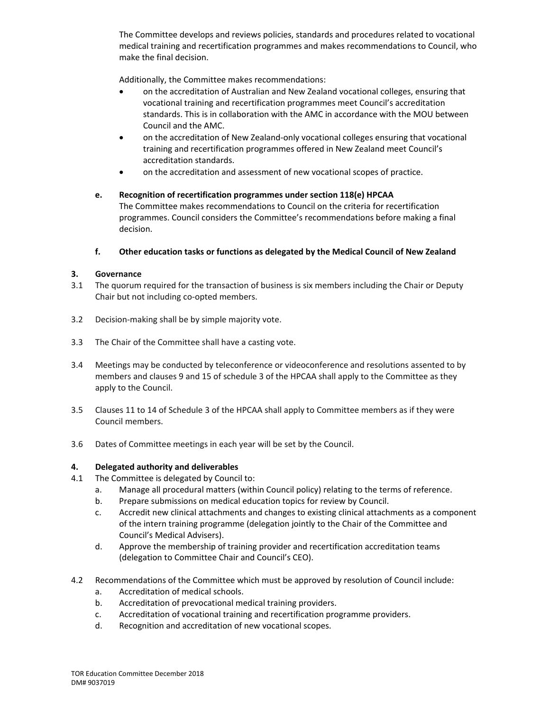The Committee develops and reviews policies, standards and procedures related to vocational medical training and recertification programmes and makes recommendations to Council, who make the final decision.

Additionally, the Committee makes recommendations:

- on the accreditation of Australian and New Zealand vocational colleges, ensuring that vocational training and recertification programmes meet Council's accreditation standards. This is in collaboration with the AMC in accordance with the MOU between Council and the AMC.
- on the accreditation of New Zealand-only vocational colleges ensuring that vocational training and recertification programmes offered in New Zealand meet Council's accreditation standards.
- on the accreditation and assessment of new vocational scopes of practice.

#### **e. Recognition of recertification programmes under section 118(e) HPCAA**  The Committee makes recommendations to Council on the criteria for recertification programmes. Council considers the Committee's recommendations before making a final decision.

#### **f. Other education tasks or functions as delegated by the Medical Council of New Zealand**

## **3. Governance**

- 3.1 The quorum required for the transaction of business is six members including the Chair or Deputy Chair but not including co‐opted members.
- 3.2 Decision‐making shall be by simple majority vote.
- 3.3 The Chair of the Committee shall have a casting vote.
- 3.4 Meetings may be conducted by teleconference or videoconference and resolutions assented to by members and clauses 9 and 15 of schedule 3 of the HPCAA shall apply to the Committee as they apply to the Council.
- 3.5 Clauses 11 to 14 of Schedule 3 of the HPCAA shall apply to Committee members as if they were Council members.
- 3.6 Dates of Committee meetings in each year will be set by the Council.

#### **4. Delegated authority and deliverables**

- 4.1 The Committee is delegated by Council to:
	- a. Manage all procedural matters (within Council policy) relating to the terms of reference.
	- b. Prepare submissions on medical education topics for review by Council.
	- c. Accredit new clinical attachments and changes to existing clinical attachments as a component of the intern training programme (delegation jointly to the Chair of the Committee and Council's Medical Advisers).
	- d. Approve the membership of training provider and recertification accreditation teams (delegation to Committee Chair and Council's CEO).
- 4.2 Recommendations of the Committee which must be approved by resolution of Council include:
	- a. Accreditation of medical schools.
	- b. Accreditation of prevocational medical training providers.
	- c. Accreditation of vocational training and recertification programme providers.
	- d. Recognition and accreditation of new vocational scopes.